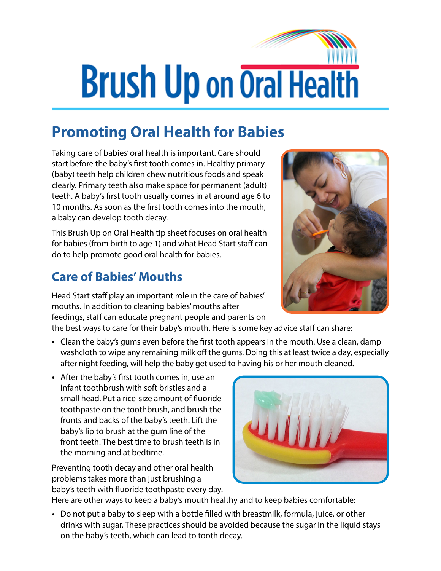## **Brush Up on Oral Health**

## **Promoting Oral Health for Babies**

Taking care of babies' oral health is important. Care should start before the baby's first tooth comes in. Healthy primary (baby) teeth help children chew nutritious foods and speak clearly. Primary teeth also make space for permanent (adult) teeth. A baby's first tooth usually comes in at around age 6 to 10 months. As soon as the first tooth comes into the mouth, a baby can develop tooth decay.

This Brush Up on Oral Health tip sheet focuses on oral health for babies (from birth to age 1) and what Head Start staff can do to help promote good oral health for babies.

## **Care of Babies' Mouths**

Head Start staff play an important role in the care of babies' mouths. In addition to cleaning babies' mouths after feedings, staff can educate pregnant people and parents on

the best ways to care for their baby's mouth. Here is some key advice staff can share:

- **•** Clean the baby's gums even before the first tooth appears in the mouth. Use a clean, damp washcloth to wipe any remaining milk off the gums. Doing this at least twice a day, especially after night feeding, will help the baby get used to having his or her mouth cleaned.
- **•** After the baby's first tooth comes in, use an infant toothbrush with soft bristles and a small head. Put a rice-size amount of fluoride toothpaste on the toothbrush, and brush the fronts and backs of the baby's teeth. Lift the baby's lip to brush at the gum line of the front teeth. The best time to brush teeth is in the morning and at bedtime.

Preventing tooth decay and other oral health problems takes more than just brushing a baby's teeth with fluoride toothpaste every day.



Here are other ways to keep a baby's mouth healthy and to keep babies comfortable:

**•** Do not put a baby to sleep with a bottle filled with breastmilk, formula, juice, or other drinks with sugar. These practices should be avoided because the sugar in the liquid stays on the baby's teeth, which can lead to tooth decay.